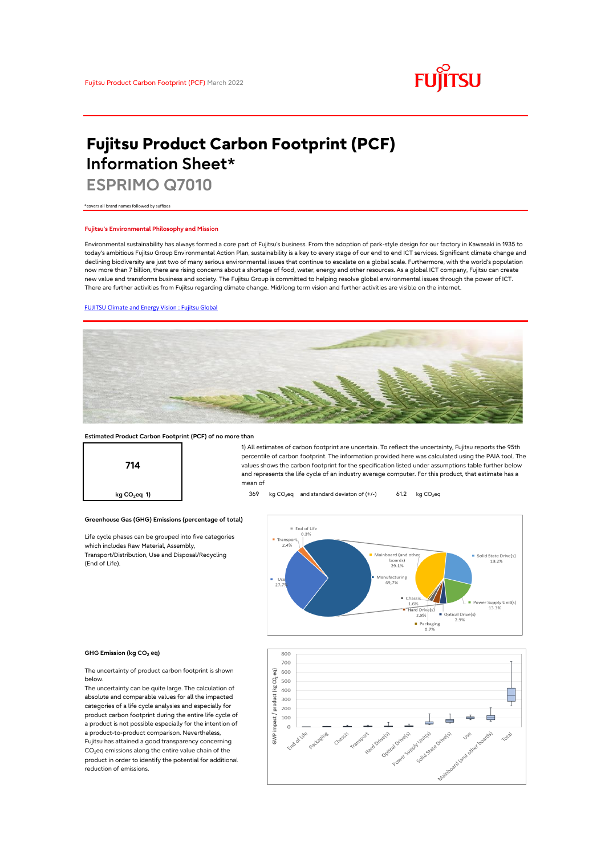

# **Fujitsu Product Carbon Footprint (PCF) Information Sheet\***

**ESPRIMO Q7010**

\*covers all brand names followed by suffixes

### **Fujitsu's Environmental Philosophy and Mission**

Environmental sustainability has always formed a core part of Fujitsu's business. From the adoption of park-style design for our factory in Kawasaki in 1935 to today's ambitious Fujitsu Group Environmental Action Plan, sustainability is a key to every stage of our end to end ICT services. Significant climate change and declining biodiversity are just two of many serious environmental issues that continue to escalate on a global scale. Furthermore, with the world's population now more than 7 billion, there are rising concerns about a shortage of food, water, energy and other resources. As a global ICT company, Fujitsu can create new value and transforms business and society. The Fujitsu Group is committed to helping resolve global environmental issues through the power of ICT. There are further activities from Fujitsu regarding climate change. Mid/long term vision and further activities are visible on the internet.

### [FUJITSU Climate and Energy Vision : Fujitsu Global](https://www.fujitsu.com/global/about/environment/climate-energy-vision/)



### **Estimated Product Carbon Footprint (PCF) of no more than**



1) All estimates of carbon footprint are uncertain. To reflect the uncertainty, Fujitsu reports the 95th percentile of carbon footprint. The information provided here was calculated using the PAIA tool. The values shows the carbon footprint for the specification listed under assumptions table further below and represents the life cycle of an industry average computer. For this product, that estimate has a mean of

**kg CO<sub>2</sub>eq 1)** 369 kg CO<sub>2</sub>eq and standard deviaton of (+/-) 61.2 kg CO<sub>2</sub>eq

# **Greenhouse Gas (GHG) Emissions (percentage of total)**

Life cycle phases can be grouped into five categories which includes Raw Material, Assembly, Transport/Distribution, Use and Disposal/Recycling (End of Life).



### **GHG Emission (kg CO2 eq)**

The uncertainty of product carbon footprint is shown below.

The uncertainty can be quite large. The calculation of absolute and comparable values for all the impacted categories of a life cycle analysies and especially for product carbon footprint during the entire life cycle of a product is not possible especially for the intention of a product-to-product comparison. Nevertheless, Fujitsu has attained a good transparency concerning CO<sub>2</sub>eq emissions along the entire value chain of the product in order to identify the potential for additional reduction of emissions.